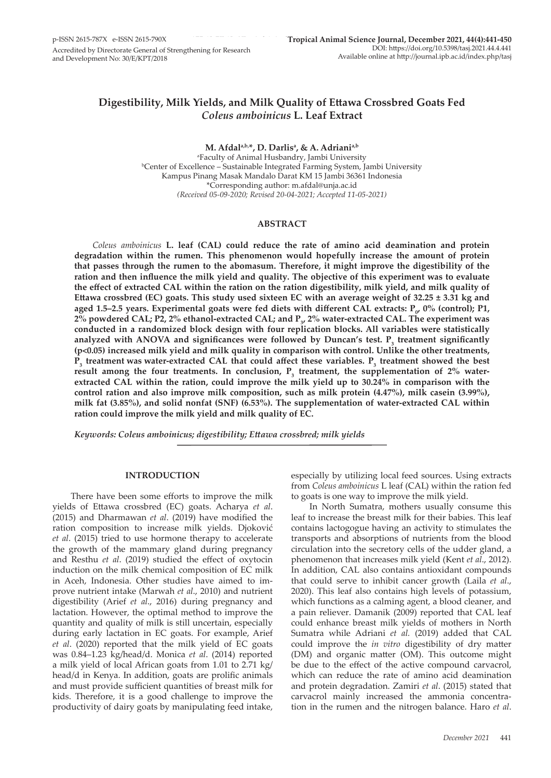# **Digestibility, Milk Yields, and Milk Quality of Ettawa Crossbred Goats Fed**  *Coleus amboinicus* **L. Leaf Extract**

**M. Afdala,b,\*, D. Darlisa , & A. Adriania,b**

a Faculty of Animal Husbandry, Jambi University b Center of Excellence – Sustainable Integrated Farming System, Jambi University Kampus Pinang Masak Mandalo Darat KM 15 Jambi 36361 Indonesia \*Corresponding author: m.afdal@unja.ac.id *(Received 05-09-2020; Revised 20-04-2021; Accepted 11-05-2021)*

# **ABSTRACT**

*Coleus amboinicus* **L. leaf (CAL) could reduce the rate of amino acid deamination and protein degradation within the rumen. This phenomenon would hopefully increase the amount of protein that passes through the rumen to the abomasum. Therefore, it might improve the digestibility of the ration and then influence the milk yield and quality. The objective of this experiment was to evaluate the effect of extracted CAL within the ration on the ration digestibility, milk yield, and milk quality of Ettawa crossbred (EC) goats. This study used sixteen EC with an average weight of 32.25 ± 3.31 kg and aged 1.5–2.5 years. Experimental goats were fed diets with different CAL extracts: P<sup>0</sup> , 0% (control); P1, 2% powdered CAL; P2, 2% ethanol-extracted CAL; and P3 , 2% water-extracted CAL. The experiment was conducted in a randomized block design with four replication blocks. All variables were statistically**  analyzed with ANOVA and significances were followed by Duncan's test.  $P_3$  treatment significantly **(p<0.05) increased milk yield and milk quality in comparison with control. Unlike the other treatments,**   $P_3$  treatment was water-extracted CAL that could affect these variables.  $P_3$  treatment showed the best result among the four treatments. In conclusion, P<sub>3</sub> treatment, the supplementation of 2% water**extracted CAL within the ration, could improve the milk yield up to 30.24% in comparison with the control ration and also improve milk composition, such as milk protein (4.47%), milk casein (3.99%), milk fat (3.85%), and solid nonfat (SNF) (6.53%). The supplementation of water-extracted CAL within ration could improve the milk yield and milk quality of EC.** 

*Keywords: Coleus amboinicus; digestibility; Ettawa crossbred; milk yields* 

### **INTRODUCTION**

There have been some efforts to improve the milk yields of Ettawa crossbred (EC) goats. Acharya *et al*. (2015) and Dharmawan *et al*. (2019) have modified the ration composition to increase milk yields. Djoković *et al*. (2015) tried to use hormone therapy to accelerate the growth of the mammary gland during pregnancy and Resthu *et al*. (2019) studied the effect of oxytocin induction on the milk chemical composition of EC milk in Aceh, Indonesia. Other studies have aimed to improve nutrient intake (Marwah *et al*., 2010) and nutrient digestibility (Arief *et al*., 2016) during pregnancy and lactation. However, the optimal method to improve the quantity and quality of milk is still uncertain, especially during early lactation in EC goats. For example, Arief *et al*. (2020) reported that the milk yield of EC goats was 0.84–1.23 kg/head/d. Monica *et al*. (2014) reported a milk yield of local African goats from 1.01 to 2.71 kg/ head/d in Kenya. In addition, goats are prolific animals and must provide sufficient quantities of breast milk for kids. Therefore, it is a good challenge to improve the productivity of dairy goats by manipulating feed intake, especially by utilizing local feed sources. Using extracts from *Coleus amboinicus* L leaf (CAL) within the ration fed to goats is one way to improve the milk yield.

In North Sumatra, mothers usually consume this leaf to increase the breast milk for their babies. This leaf contains lactogogue having an activity to stimulates the transports and absorptions of nutrients from the blood circulation into the secretory cells of the udder gland, a phenomenon that increases milk yield (Kent *et al*., 2012). In addition, CAL also contains antioxidant compounds that could serve to inhibit cancer growth (Laila *et al*., 2020). This leaf also contains high levels of potassium, which functions as a calming agent, a blood cleaner, and a pain reliever. Damanik (2009) reported that CAL leaf could enhance breast milk yields of mothers in North Sumatra while Adriani *et al.* (2019) added that CAL could improve the *in vitro* digestibility of dry matter (DM) and organic matter (OM). This outcome might be due to the effect of the active compound carvacrol, which can reduce the rate of amino acid deamination and protein degradation. Zamiri *et al*. (2015) stated that carvacrol mainly increased the ammonia concentration in the rumen and the nitrogen balance. Haro *et al*.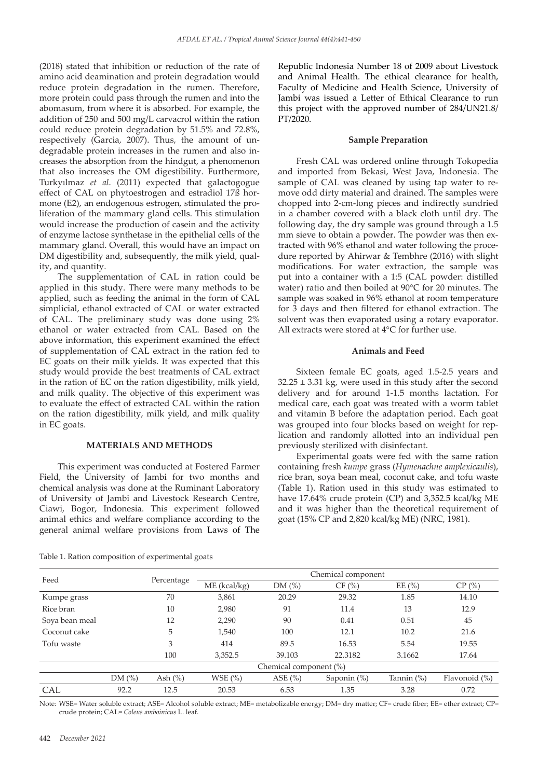(2018) stated that inhibition or reduction of the rate of amino acid deamination and protein degradation would reduce protein degradation in the rumen. Therefore, more protein could pass through the rumen and into the abomasum, from where it is absorbed. For example, the addition of 250 and 500 mg/L carvacrol within the ration could reduce protein degradation by 51.5% and 72.8%, respectively (Garcia, 2007). Thus, the amount of undegradable protein increases in the rumen and also increases the absorption from the hindgut, a phenomenon that also increases the OM digestibility. Furthermore, Turkyılmaz *et al*. (2011) expected that galactogogue effect of CAL on phytoestrogen and estradiol 17ß hormone (E2), an endogenous estrogen, stimulated the proliferation of the mammary gland cells. This stimulation would increase the production of casein and the activity of enzyme lactose synthetase in the epithelial cells of the mammary gland. Overall, this would have an impact on DM digestibility and, subsequently, the milk yield, quality, and quantity.

The supplementation of CAL in ration could be applied in this study. There were many methods to be applied, such as feeding the animal in the form of CAL simplicial, ethanol extracted of CAL or water extracted of CAL. The preliminary study was done using 2% ethanol or water extracted from CAL. Based on the above information, this experiment examined the effect of supplementation of CAL extract in the ration fed to EC goats on their milk yields. It was expected that this study would provide the best treatments of CAL extract in the ration of EC on the ration digestibility, milk yield, and milk quality. The objective of this experiment was to evaluate the effect of extracted CAL within the ration on the ration digestibility, milk yield, and milk quality in EC goats.

### **MATERIALS AND METHODS**

This experiment was conducted at Fostered Farmer Field, the University of Jambi for two months and chemical analysis was done at the Ruminant Laboratory of University of Jambi and Livestock Research Centre, Ciawi, Bogor, Indonesia. This experiment followed animal ethics and welfare compliance according to the general animal welfare provisions from Laws of The Republic Indonesia Number 18 of 2009 about Livestock and Animal Health. The ethical clearance for health, Faculty of Medicine and Health Science, University of Jambi was issued a Letter of Ethical Clearance to run this project with the approved number of 284/UN21.8/ PT/2020.

# **Sample Preparation**

Fresh CAL was ordered online through Tokopedia and imported from Bekasi, West Java, Indonesia. The sample of CAL was cleaned by using tap water to remove odd dirty material and drained. The samples were chopped into 2-cm-long pieces and indirectly sundried in a chamber covered with a black cloth until dry. The following day, the dry sample was ground through a 1.5 mm sieve to obtain a powder. The powder was then extracted with 96% ethanol and water following the procedure reported by Ahirwar & Tembhre (2016) with slight modifications. For water extraction, the sample was put into a container with a 1:5 (CAL powder: distilled water) ratio and then boiled at 90°C for 20 minutes. The sample was soaked in 96% ethanol at room temperature for 3 days and then filtered for ethanol extraction. The solvent was then evaporated using a rotary evaporator. All extracts were stored at 4°C for further use.

# **Animals and Feed**

Sixteen female EC goats, aged 1.5-2.5 years and  $32.25 \pm 3.31$  kg, were used in this study after the second delivery and for around 1-1.5 months lactation. For medical care, each goat was treated with a worm tablet and vitamin B before the adaptation period. Each goat was grouped into four blocks based on weight for replication and randomly allotted into an individual pen previously sterilized with disinfectant.

Experimental goats were fed with the same ration containing fresh *kumpe* grass (*Hymenachne amplexicaulis*), rice bran, soya bean meal, coconut cake, and tofu waste (Table 1). Ration used in this study was estimated to have 17.64% crude protein (CP) and 3,352.5 kcal/kg ME and it was higher than the theoretical requirement of goat (15% CP and 2,820 kcal/kg ME) (NRC, 1981).

| Feed           |       |             | Chemical component     |             |                |               |               |  |
|----------------|-------|-------------|------------------------|-------------|----------------|---------------|---------------|--|
|                |       | Percentage  | $ME$ (kcal/kg)         | DM(%)       | CF(%)          | EE $(\% )$    | CP(%)         |  |
| Kumpe grass    |       | 70          | 3,861                  | 20.29       | 29.32          | 1.85          | 14.10         |  |
| Rice bran      |       | 10          | 2,980                  | 91          | 11.4           | 13            | 12.9          |  |
| Soya bean meal |       | 12          | 2,290                  | 90          | 0.41           | 0.51          | 45            |  |
| Coconut cake   |       | 5           | 1,540                  | 100         | 12.1           | 10.2          | 21.6          |  |
| Tofu waste     |       | 3           | 414                    | 89.5        | 16.53          | 5.54          | 19.55         |  |
|                |       | 100         | 3,352.5                | 39.103      | 22.3182        | 3.1662        | 17.64         |  |
|                |       |             | Chemical component (%) |             |                |               |               |  |
|                | DM(%) | Ash $(\% )$ | WSE $(\% )$            | ASE $(\% )$ | Saponin $(\%)$ | Tannin $(\%)$ | Flavonoid (%) |  |
| CAL            | 92.2  | 12.5        | 20.53                  | 6.53        | 1.35           | 3.28          | 0.72          |  |

Table 1. Ration composition of experimental goats

Note: WSE= Water soluble extract; ASE= Alcohol soluble extract; ME= metabolizable energy; DM= dry matter; CF= crude fiber; EE= ether extract; CP= crude protein; CAL= *Coleus amboinicus* L. leaf.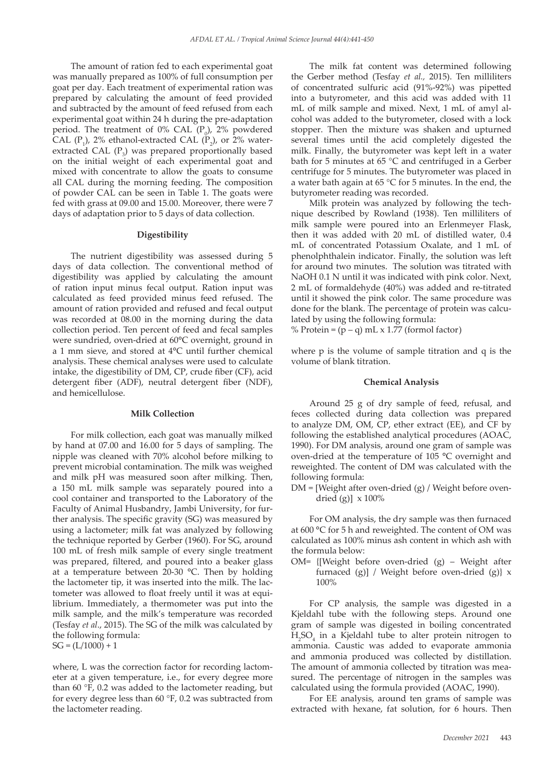The amount of ration fed to each experimental goat was manually prepared as 100% of full consumption per goat per day. Each treatment of experimental ration was prepared by calculating the amount of feed provided and subtracted by the amount of feed refused from each experimental goat within 24 h during the pre-adaptation period. The treatment of  $0\%$  CAL ( $P_0$ ), 2% powdered CAL  $(P_1)$ , 2% ethanol-extracted CAL  $(P_2)$ , or 2% waterextracted CAL  $(P_3)$  was prepared proportionally based on the initial weight of each experimental goat and mixed with concentrate to allow the goats to consume all CAL during the morning feeding. The composition of powder CAL can be seen in Table 1. The goats were fed with grass at 09.00 and 15.00. Moreover, there were 7 days of adaptation prior to 5 days of data collection.

### **Digestibility**

The nutrient digestibility was assessed during 5 days of data collection. The conventional method of digestibility was applied by calculating the amount of ration input minus fecal output. Ration input was calculated as feed provided minus feed refused. The amount of ration provided and refused and fecal output was recorded at 08.00 in the morning during the data collection period. Ten percent of feed and fecal samples were sundried, oven-dried at 60**°**C overnight, ground in a 1 mm sieve, and stored at 4**°**C until further chemical analysis. These chemical analyses were used to calculate intake, the digestibility of DM, CP, crude fiber (CF), acid detergent fiber (ADF), neutral detergent fiber (NDF), and hemicellulose.

### **Milk Collection**

For milk collection, each goat was manually milked by hand at 07.00 and 16.00 for 5 days of sampling. The nipple was cleaned with 70% alcohol before milking to prevent microbial contamination. The milk was weighed and milk pH was measured soon after milking. Then, a 150 mL milk sample was separately poured into a cool container and transported to the Laboratory of the Faculty of Animal Husbandry, Jambi University, for further analysis. The specific gravity (SG) was measured by using a lactometer; milk fat was analyzed by following the technique reported by Gerber (1960). For SG, around 100 mL of fresh milk sample of every single treatment was prepared, filtered, and poured into a beaker glass at a temperature between 20-30 **°**C. Then by holding the lactometer tip, it was inserted into the milk. The lactometer was allowed to float freely until it was at equilibrium. Immediately, a thermometer was put into the milk sample, and the milk's temperature was recorded (Tesfay *et al*., 2015). The SG of the milk was calculated by the following formula:  $SG = (L/1000) + 1$ 

where, L was the correction factor for recording lactometer at a given temperature, i.e., for every degree more than 60 °F, 0.2 was added to the lactometer reading, but for every degree less than 60 °F, 0.2 was subtracted from the lactometer reading.

The milk fat content was determined following the Gerber method (Tesfay *et al.,* 2015). Ten milliliters of concentrated sulfuric acid (91%-92%) was pipetted into a butyrometer, and this acid was added with 11 mL of milk sample and mixed. Next, 1 mL of amyl alcohol was added to the butyrometer, closed with a lock stopper. Then the mixture was shaken and upturned several times until the acid completely digested the milk. Finally, the butyrometer was kept left in a water bath for 5 minutes at 65 °C and centrifuged in a Gerber centrifuge for 5 minutes. The butyrometer was placed in a water bath again at 65 °C for 5 minutes. In the end, the butyrometer reading was recorded.

Milk protein was analyzed by following the technique described by Rowland (1938). Ten milliliters of milk sample were poured into an Erlenmeyer Flask, then it was added with 20 mL of distilled water, 0.4 mL of concentrated Potassium Oxalate, and 1 mL of phenolphthalein indicator. Finally, the solution was left for around two minutes. The solution was titrated with NaOH 0.1 N until it was indicated with pink color. Next, 2 mL of formaldehyde (40%) was added and re-titrated until it showed the pink color. The same procedure was done for the blank. The percentage of protein was calculated by using the following formula:

% Protein =  $(p - q)$  mL x 1.77 (formol factor)

where p is the volume of sample titration and q is the volume of blank titration.

# **Chemical Analysis**

Around 25 g of dry sample of feed, refusal, and feces collected during data collection was prepared to analyze DM, OM, CP, ether extract (EE), and CF by following the established analytical procedures (AOAC, 1990). For DM analysis, around one gram of sample was oven-dried at the temperature of 105 **°**C overnight and reweighted. The content of DM was calculated with the following formula:

DM = [Weight after oven-dried (g) / Weight before ovendried (g)]  $\times$  100%

For OM analysis, the dry sample was then furnaced at 600 **°**C for 5 h and reweighted. The content of OM was calculated as 100% minus ash content in which ash with the formula below:

OM= {[Weight before oven-dried (g) – Weight after furnaced (g)] / Weight before oven-dried (g)  $x$ 100%

For CP analysis, the sample was digested in a Kjeldahl tube with the following steps. Around one gram of sample was digested in boiling concentrated  $H_2SO_4$  in a Kjeldahl tube to alter protein nitrogen to ammonia. Caustic was added to evaporate ammonia and ammonia produced was collected by distillation. The amount of ammonia collected by titration was measured. The percentage of nitrogen in the samples was calculated using the formula provided (AOAC, 1990).

For EE analysis, around ten grams of sample was extracted with hexane, fat solution, for 6 hours. Then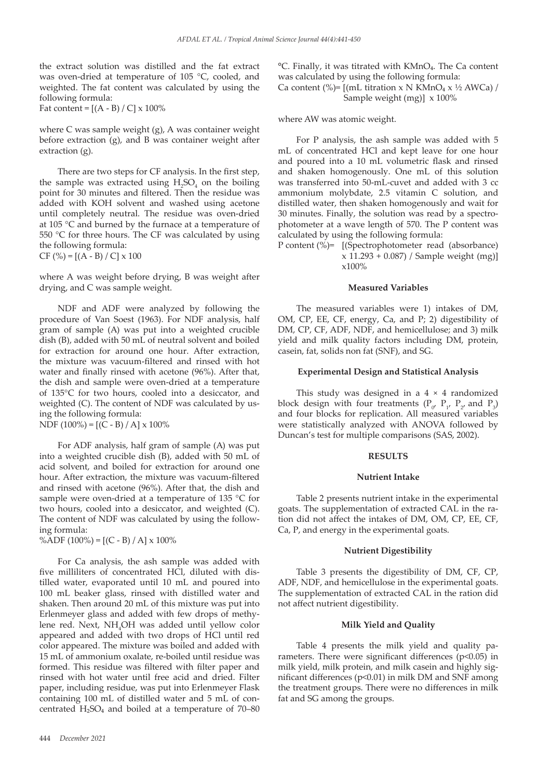the extract solution was distilled and the fat extract was oven-dried at temperature of 105 °C, cooled, and weighted. The fat content was calculated by using the following formula:

Fat content =  $[(A - B) / C] \times 100\%$ 

where C was sample weight (g), A was container weight before extraction (g), and B was container weight after extraction (g).

There are two steps for CF analysis. In the first step, the sample was extracted using  $H_2SO_4$  on the boiling point for 30 minutes and filtered. Then the residue was added with KOH solvent and washed using acetone until completely neutral. The residue was oven-dried at 105 °C and burned by the furnace at a temperature of 550 °C for three hours. The CF was calculated by using the following formula:  $CF (%) = [(A - B) / C] \times 100$ 

where A was weight before drying, B was weight after drying, and C was sample weight.

NDF and ADF were analyzed by following the procedure of Van Soest (1963). For NDF analysis, half gram of sample (A) was put into a weighted crucible dish (B), added with 50 mL of neutral solvent and boiled for extraction for around one hour. After extraction, the mixture was vacuum-filtered and rinsed with hot water and finally rinsed with acetone (96%). After that, the dish and sample were oven-dried at a temperature of 135°C for two hours, cooled into a desiccator, and weighted (C). The content of NDF was calculated by using the following formula:

NDF (100%) =  $[(C - B) / A] \times 100\%$ 

For ADF analysis, half gram of sample (A) was put into a weighted crucible dish (B), added with 50 mL of acid solvent, and boiled for extraction for around one hour. After extraction, the mixture was vacuum-filtered and rinsed with acetone (96%). After that, the dish and sample were oven-dried at a temperature of 135 °C for two hours, cooled into a desiccator, and weighted (C). The content of NDF was calculated by using the following formula:

%ADF  $(100\%) = [(C - B) / A] \times 100\%$ 

For Ca analysis, the ash sample was added with five milliliters of concentrated HCl, diluted with distilled water, evaporated until 10 mL and poured into 100 mL beaker glass, rinsed with distilled water and shaken. Then around 20 mL of this mixture was put into Erlenmeyer glass and added with few drops of methylene red. Next, NH<sub>4</sub>OH was added until yellow color appeared and added with two drops of HCl until red color appeared. The mixture was boiled and added with 15 mL of ammonium oxalate, re-boiled until residue was formed. This residue was filtered with filter paper and rinsed with hot water until free acid and dried. Filter paper, including residue, was put into Erlenmeyer Flask containing 100 mL of distilled water and 5 mL of concentrated  $H<sub>2</sub>SO<sub>4</sub>$  and boiled at a temperature of 70–80

**°**C. Finally, it was titrated with KMnO₄. The Ca content was calculated by using the following formula: Ca content (%)=  $[(mL titration x N KMnO<sub>4</sub> x ½ AWCa) /$ Sample weight (mg)] x 100%

where AW was atomic weight.

For P analysis, the ash sample was added with 5 mL of concentrated HCl and kept leave for one hour and poured into a 10 mL volumetric flask and rinsed and shaken homogenously. One mL of this solution was transferred into 50-mL-cuvet and added with 3 cc ammonium molybdate, 2.5 vitamin C solution, and distilled water, then shaken homogenously and wait for 30 minutes. Finally, the solution was read by a spectrophotometer at a wave length of 570. The P content was calculated by using the following formula:

P content (%)= [(Spectrophotometer read (absorbance) x 11.293 + 0.087) / Sample weight (mg)] x100%

# **Measured Variables**

The measured variables were 1) intakes of DM, OM, CP, EE, CF, energy, Ca, and P; 2) digestibility of DM, CP, CF, ADF, NDF, and hemicellulose; and 3) milk yield and milk quality factors including DM, protein, casein, fat, solids non fat (SNF), and SG.

# **Experimental Design and Statistical Analysis**

This study was designed in a  $4 \times 4$  randomized block design with four treatments  $(P_{0'} P_{1'} P_{2'}$  and  $P_3)$ and four blocks for replication. All measured variables were statistically analyzed with ANOVA followed by Duncan's test for multiple comparisons (SAS, 2002).

# **RESULTS**

#### **Nutrient Intake**

Table 2 presents nutrient intake in the experimental goats. The supplementation of extracted CAL in the ration did not affect the intakes of DM, OM, CP, EE, CF, Ca, P, and energy in the experimental goats.

### **Nutrient Digestibility**

Table 3 presents the digestibility of DM, CF, CP, ADF, NDF, and hemicellulose in the experimental goats. The supplementation of extracted CAL in the ration did not affect nutrient digestibility.

# **Milk Yield and Quality**

Table 4 presents the milk yield and quality parameters. There were significant differences (p<0.05) in milk yield, milk protein, and milk casein and highly significant differences (p<0.01) in milk DM and SNF among the treatment groups. There were no differences in milk fat and SG among the groups.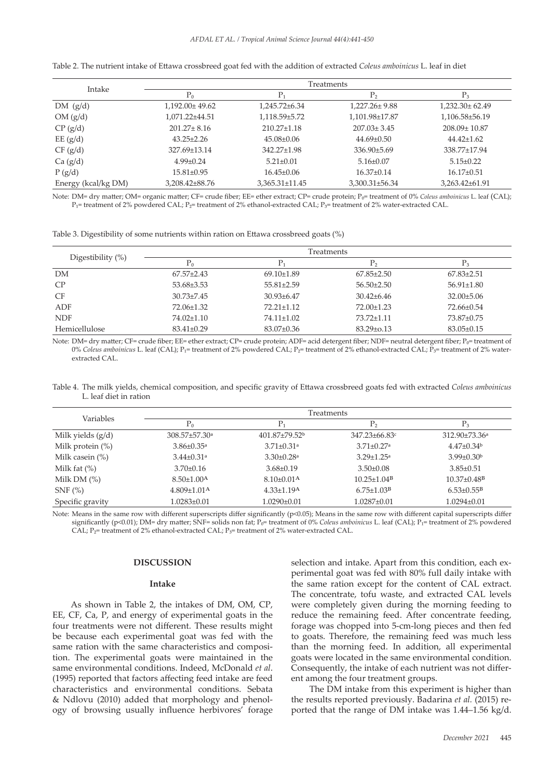|                     | Treatments           |                      |                     |                      |  |  |
|---------------------|----------------------|----------------------|---------------------|----------------------|--|--|
| Intake              | $P_0$                | Р,                   | P <sub>2</sub>      | $P_3$                |  |  |
| $DM$ (g/d)          | $1,192.00 \pm 49.62$ | $1,245.72 \pm 6.34$  | $1,227.26 \pm 9.88$ | $1,232.30 \pm 62.49$ |  |  |
| OM(g/d)             | 1,071.22±44.51       | 1,118.59±5.72        | 1,101.98±17.87      | 1,106.58±56.19       |  |  |
| CP (g/d)            | $201.27 \pm 8.16$    | $210.27 \pm 1.18$    | $207.03 \pm 3.45$   | $208.09 \pm 10.87$   |  |  |
| EE (g/d)            | $43.25 \pm 2.26$     | $45.08 \pm 0.06$     | $44.69 \pm 0.50$    | $44.42 \pm 1.62$     |  |  |
| CF (g/d)            | 327.69±13.14         | 342.27±1.98          | $336.90\pm5.69$     | 338.77±17.94         |  |  |
| Ca (g/d)            | $4.99 \pm 0.24$      | $5.21 \pm 0.01$      | $5.16 \pm 0.07$     | $5.15 \pm 0.22$      |  |  |
| P(g/d)              | $15.81 \pm 0.95$     | $16.45 \pm 0.06$     | $16.37\pm0.14$      | $16.17 \pm 0.51$     |  |  |
| Energy (kcal/kg DM) | $3.208.42\pm88.76$   | $3.365.31 \pm 11.45$ | 3.300.31±56.34      | 3,263.42±61.91       |  |  |

Table 2. The nutrient intake of Ettawa crossbreed goat fed with the addition of extracted *Coleus amboinicus* L. leaf in diet

Note: DM= dry matter; OM= organic matter; CF= crude fiber; EE= ether extract; CP= crude protein; P<sub>0</sub>= treatment of 0% *Coleus amboinicus* L. leaf (CAL);  $P_1$ = treatment of 2% powdered CAL;  $P_2$ = treatment of 2% ethanol-extracted CAL;  $P_3$ = treatment of 2% water-extracted CAL.

Table 3. Digestibility of some nutrients within ration on Ettawa crossbreed goats (%)

|                      | Treatments       |                  |                  |                  |  |
|----------------------|------------------|------------------|------------------|------------------|--|
| Digestibility $(\%)$ | ${\rm P_0}$      |                  | Р,               |                  |  |
| DM                   | $67.57 \pm 2.43$ | $69.10\pm1.89$   | $67.85 \pm 2.50$ | $67.83\pm2.51$   |  |
| CP                   | $53.68 \pm 3.53$ | $55.81 \pm 2.59$ | $56.50 \pm 2.50$ | $56.91 \pm 1.80$ |  |
| CF                   | $30.73 \pm 7.45$ | $30.93\pm 6.47$  | $30.42 \pm 6.46$ | $32.00\pm5.06$   |  |
| ADF                  | $72.06\pm1.32$   | $72.21 \pm 1.12$ | $72.00\pm1.23$   | 72.66±0.54       |  |
| <b>NDF</b>           | $74.02\pm1.10$   | $74.11 \pm 1.02$ | $73.72 \pm 1.11$ | 73.87±0.75       |  |
| Hemicellulose        | $83.41 \pm 0.29$ | $83.07 \pm 0.36$ | $83.29 \pm 0.13$ | $83.05 \pm 0.15$ |  |

Note: DM= dry matter; CF= crude fiber; EE= ether extract; CP= crude protein; ADF= acid detergent fiber; NDF= neutral detergent fiber;  $P_0$ = treatment of 0% *Coleus amboinicus* L. leaf (CAL); P<sub>1</sub>= treatment of 2% powdered CAL; P<sub>2</sub>= treatment of 2% ethanol-extracted CAL; P<sub>3</sub>= treatment of 2% waterextracted CAL.

Table 4. The milk yields, chemical composition, and specific gravity of Ettawa crossbreed goats fed with extracted *Coleus amboinicus*  L. leaf diet in ration

| Variables           | Treatments                      |                              |                               |                              |  |  |
|---------------------|---------------------------------|------------------------------|-------------------------------|------------------------------|--|--|
|                     | $P_0$                           | $P_1$                        | P <sub>2</sub>                | $P_3$                        |  |  |
| Milk yields $(g/d)$ | $308.57 \pm 57.30$ <sup>a</sup> | $401.87 \pm 79.52^{\circ}$   | $347.23 \pm 66.83$ c          | $312.90\pm73.36^a$           |  |  |
| Milk protein $(\%)$ | $3.86 \pm 0.35$ <sup>a</sup>    | $3.71 \pm 0.31$ <sup>a</sup> | $3.71 \pm 0.27$ <sup>a</sup>  | $4.47\pm0.34^b$              |  |  |
| Milk casein $(\%)$  | $3.44 \pm 0.31$ <sup>a</sup>    | $3.30\pm0.28^{\rm a}$        | $3.29 \pm 1.25$ <sup>a</sup>  | $3.99 \pm 0.30^{\circ}$      |  |  |
| Milk fat $(\%)$     | $3.70 \pm 0.16$                 | $3.68\pm0.19$                | $3.50 \pm 0.08$               | $3.85 \pm 0.51$              |  |  |
| Milk DM $(\% )$     | $8.50 \pm 1.00$ <sup>A</sup>    | $8.10\pm0.01$ <sup>A</sup>   | $10.25 \pm 1.04$ <sup>B</sup> | $10.37\pm0.48$ <sup>B</sup>  |  |  |
| $SNF$ $%$           | $4.809 \pm 1.01$ <sup>A</sup>   | $4.33 \pm 1.19$ <sup>A</sup> | $6.75 \pm 1.03^B$             | $6.53 \pm 0.55$ <sup>B</sup> |  |  |
| Specific gravity    | $1.0283 \pm 0.01$               | $1.0290\pm0.01$              | $1.0287 \pm 0.01$             | $1.0294\pm0.01$              |  |  |

Note: Means in the same row with different superscripts differ significantly (p<0.05); Means in the same row with different capital superscripts differ significantly (p<0.01); DM= dry matter; SNF= solids non fat; P<sub>0</sub>= treatment of 0% *Coleus amboinicus* L. leaf (CAL); P<sub>1</sub>= treatment of 2% powdered CAL;  $P_2$ = treatment of 2% ethanol-extracted CAL;  $P_3$ = treatment of 2% water-extracted CAL.

# **DISCUSSION**

### **Intake**

As shown in Table 2, the intakes of DM, OM, CP, EE, CF, Ca, P, and energy of experimental goats in the four treatments were not different. These results might be because each experimental goat was fed with the same ration with the same characteristics and composition. The experimental goats were maintained in the same environmental conditions. Indeed, McDonald *et al*. (1995) reported that factors affecting feed intake are feed characteristics and environmental conditions. Sebata & Ndlovu (2010) added that morphology and phenology of browsing usually influence herbivores' forage selection and intake. Apart from this condition, each experimental goat was fed with 80% full daily intake with the same ration except for the content of CAL extract. The concentrate, tofu waste, and extracted CAL levels were completely given during the morning feeding to reduce the remaining feed. After concentrate feeding, forage was chopped into 5-cm-long pieces and then fed to goats. Therefore, the remaining feed was much less than the morning feed. In addition, all experimental goats were located in the same environmental condition. Consequently, the intake of each nutrient was not different among the four treatment groups.

The DM intake from this experiment is higher than the results reported previously. Badarina *et al.* (2015) reported that the range of DM intake was 1.44–1.56 kg/d.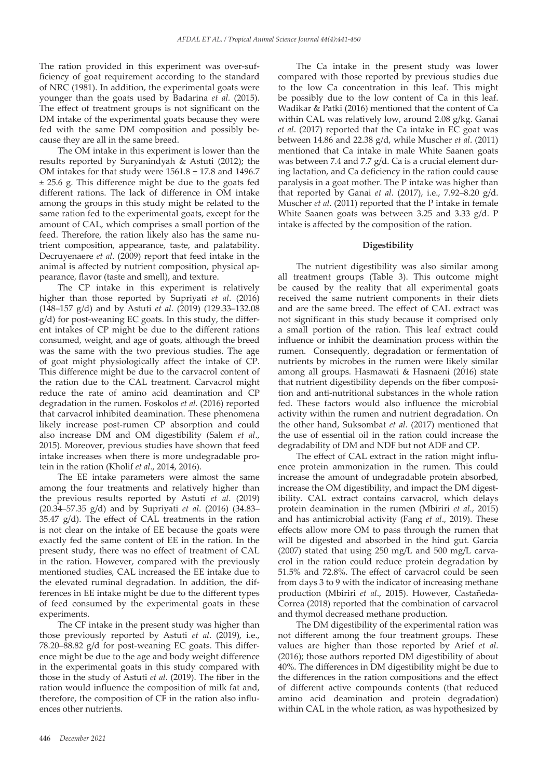The ration provided in this experiment was over-sufficiency of goat requirement according to the standard of NRC (1981). In addition, the experimental goats were younger than the goats used by Badarina et al. (2015). The effect of treatment groups is not significant on the DM intake of the experimental goats because they were fed with the same DM composition and possibly because they are all in the same breed.

The OM intake in this experiment is lower than the results reported by Suryanindyah & Astuti (2012); the OM intakes for that study were  $1561.8 \pm 17.8$  and  $1496.7$ ± 25.6 g. This difference might be due to the goats fed different rations. The lack of difference in OM intake among the groups in this study might be related to the same ration fed to the experimental goats, except for the amount of CAL, which comprises a small portion of the feed. Therefore, the ration likely also has the same nutrient composition, appearance, taste, and palatability. Decruyenaere *et al*. (2009) report that feed intake in the animal is affected by nutrient composition, physical appearance, flavor (taste and smell), and texture.

The CP intake in this experiment is relatively higher than those reported by Supriyati *et al*. (2016) (148–157 g/d) and by Astuti *et al*. (2019) (129.33–132.08 g/d) for post-weaning EC goats. In this study, the different intakes of CP might be due to the different rations consumed, weight, and age of goats, although the breed was the same with the two previous studies. The age of goat might physiologically affect the intake of CP. This difference might be due to the carvacrol content of the ration due to the CAL treatment. Carvacrol might reduce the rate of amino acid deamination and CP degradation in the rumen. Foskolos *et al.* (2016) reported that carvacrol inhibited deamination. These phenomena likely increase post-rumen CP absorption and could also increase DM and OM digestibility (Salem *et al*., 2015). Moreover, previous studies have shown that feed intake increases when there is more undegradable protein in the ration (Kholif *et al*., 2014, 2016).

The EE intake parameters were almost the same among the four treatments and relatively higher than the previous results reported by Astuti *et al*. (2019) (20.34–57.35 g/d) and by Supriyati *et al*. (2016) (34.83– 35.47 g/d). The effect of CAL treatments in the ration is not clear on the intake of EE because the goats were exactly fed the same content of EE in the ration. In the present study, there was no effect of treatment of CAL in the ration. However, compared with the previously mentioned studies, CAL increased the EE intake due to the elevated ruminal degradation. In addition, the differences in EE intake might be due to the different types of feed consumed by the experimental goats in these experiments.

The CF intake in the present study was higher than those previously reported by Astuti *et al*. (2019), i.e., 78.20–88.82 g/d for post-weaning EC goats. This difference might be due to the age and body weight difference in the experimental goats in this study compared with those in the study of Astuti *et al*. (2019). The fiber in the ration would influence the composition of milk fat and, therefore, the composition of CF in the ration also influences other nutrients.

The Ca intake in the present study was lower compared with those reported by previous studies due to the low Ca concentration in this leaf. This might be possibly due to the low content of Ca in this leaf. Wadikar & Patki (2016) mentioned that the content of Ca within CAL was relatively low, around 2.08 g/kg. Ganai *et al*. (2017) reported that the Ca intake in EC goat was between 14.86 and 22.38 g/d, while Muscher *et al*. (2011) mentioned that Ca intake in male White Saanen goats was between 7.4 and 7.7 g/d. Ca is a crucial element during lactation, and Ca deficiency in the ration could cause paralysis in a goat mother. The P intake was higher than that reported by Ganai *et al*. (2017), i.e., 7.92–8.20 g/d. Muscher *et al*. (2011) reported that the P intake in female White Saanen goats was between 3.25 and 3.33 g/d. P intake is affected by the composition of the ration.

### **Digestibility**

The nutrient digestibility was also similar among all treatment groups (Table 3). This outcome might be caused by the reality that all experimental goats received the same nutrient components in their diets and are the same breed. The effect of CAL extract was not significant in this study because it comprised only a small portion of the ration. This leaf extract could influence or inhibit the deamination process within the rumen. Consequently, degradation or fermentation of nutrients by microbes in the rumen were likely similar among all groups. Hasmawati & Hasnaeni (2016) state that nutrient digestibility depends on the fiber composition and anti-nutritional substances in the whole ration fed. These factors would also influence the microbial activity within the rumen and nutrient degradation. On the other hand, Suksombat *et al*. (2017) mentioned that the use of essential oil in the ration could increase the degradability of DM and NDF but not ADF and CP.

The effect of CAL extract in the ration might influence protein ammonization in the rumen. This could increase the amount of undegradable protein absorbed, increase the OM digestibility, and impact the DM digestibility. CAL extract contains carvacrol, which delays protein deamination in the rumen (Mbiriri *et al*., 2015) and has antimicrobial activity (Fang *et al*., 2019). These effects allow more OM to pass through the rumen that will be digested and absorbed in the hind gut. Garcia (2007) stated that using 250 mg/L and 500 mg/L carvacrol in the ration could reduce protein degradation by 51.5% and 72.8%. The effect of carvacrol could be seen from days 3 to 9 with the indicator of increasing methane production (Mbiriri *et al*., 2015). However, Castañeda-Correa (2018) reported that the combination of carvacrol and thymol decreased methane production.

The DM digestibility of the experimental ration was not different among the four treatment groups. These values are higher than those reported by Arief *et al*. (2016); those authors reported DM digestibility of about 40%. The differences in DM digestibility might be due to the differences in the ration compositions and the effect of different active compounds contents (that reduced amino acid deamination and protein degradation) within CAL in the whole ration, as was hypothesized by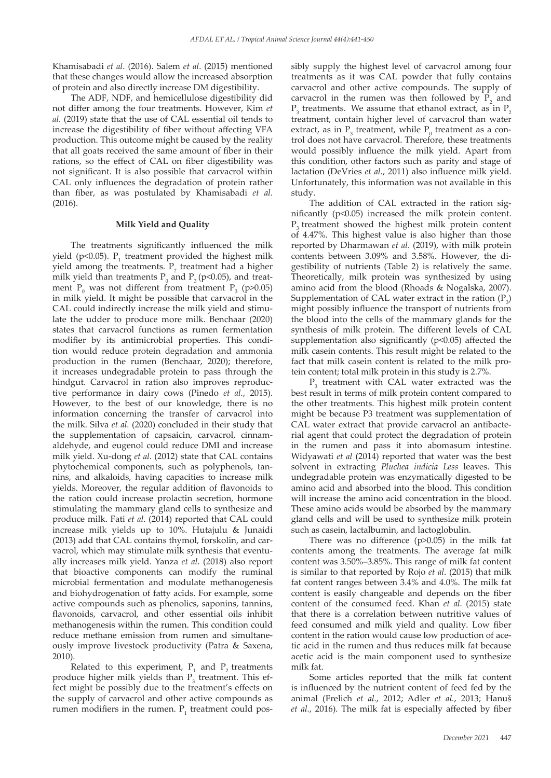Khamisabadi *et al*. (2016). Salem *et al*. (2015) mentioned that these changes would allow the increased absorption of protein and also directly increase DM digestibility.

The ADF, NDF, and hemicellulose digestibility did not differ among the four treatments. However, Kim *et al*. (2019) state that the use of CAL essential oil tends to increase the digestibility of fiber without affecting VFA production. This outcome might be caused by the reality that all goats received the same amount of fiber in their rations, so the effect of CAL on fiber digestibility was not significant. It is also possible that carvacrol within CAL only influences the degradation of protein rather than fiber, as was postulated by Khamisabadi *et al*. (2016).

# **Milk Yield and Quality**

The treatments significantly influenced the milk yield (p<0.05).  $P_1$  treatment provided the highest milk yield among the treatments.  $P_2$  treatment had a higher milk yield than treatments  $P_0$  and  $P_3$  (p<0.05), and treatment  $P_0$  was not different from treatment  $P_3$  (p>0.05) in milk yield. It might be possible that carvacrol in the CAL could indirectly increase the milk yield and stimulate the udder to produce more milk. Benchaar (2020) states that carvacrol functions as rumen fermentation modifier by its antimicrobial properties. This condition would reduce protein degradation and ammonia production in the rumen (Benchaar, 2020); therefore, it increases undegradable protein to pass through the hindgut. Carvacrol in ration also improves reproductive performance in dairy cows (Pinedo *et al.*, 2015). However, to the best of our knowledge, there is no information concerning the transfer of carvacrol into the milk. Silva *et al.* (2020) concluded in their study that the supplementation of capsaicin, carvacrol, cinnamaldehyde, and eugenol could reduce DMI and increase milk yield. Xu-dong *et al*. (2012) state that CAL contains phytochemical components, such as polyphenols, tannins, and alkaloids, having capacities to increase milk yields. Moreover, the regular addition of flavonoids to the ration could increase prolactin secretion, hormone stimulating the mammary gland cells to synthesize and produce milk. Fati *et al*. (2014) reported that CAL could increase milk yields up to 10%. Hutajulu & Junaidi (2013) add that CAL contains thymol, forskolin, and carvacrol, which may stimulate milk synthesis that eventually increases milk yield. Yanza *et al*. (2018) also report that bioactive components can modify the ruminal microbial fermentation and modulate methanogenesis and biohydrogenation of fatty acids. For example, some active compounds such as phenolics, saponins, tannins, flavonoids, carvacrol, and other essential oils inhibit methanogenesis within the rumen. This condition could reduce methane emission from rumen and simultaneously improve livestock productivity (Patra & Saxena, 2010).

Related to this experiment,  $P_1$  and  $P_2$  treatments produce higher milk yields than  $P_3$  treatment. This effect might be possibly due to the treatment's effects on the supply of carvacrol and other active compounds as rumen modifiers in the rumen.  $P_1$  treatment could possibly supply the highest level of carvacrol among four treatments as it was CAL powder that fully contains carvacrol and other active compounds. The supply of carvacrol in the rumen was then followed by  $P_2$  and  $P_3$  treatments. We assume that ethanol extract, as in  $P_2$ treatment, contain higher level of carvacrol than water extract, as in  $P_3$  treatment, while  $P_0$  treatment as a control does not have carvacrol. Therefore, these treatments would possibly influence the milk yield. Apart from this condition, other factors such as parity and stage of lactation (DeVries *et al.*, 2011) also influence milk yield. Unfortunately, this information was not available in this study.

The addition of CAL extracted in the ration significantly (p<0.05) increased the milk protein content.  $P<sub>3</sub>$  treatment showed the highest milk protein content of 4.47%. This highest value is also higher than those reported by Dharmawan *et al*. (2019), with milk protein contents between 3.09% and 3.58%. However, the digestibility of nutrients (Table 2) is relatively the same. Theoretically, milk protein was synthesized by using amino acid from the blood (Rhoads & Nogalska, 2007). Supplementation of CAL water extract in the ration  $(P_3)$ might possibly influence the transport of nutrients from the blood into the cells of the mammary glands for the synthesis of milk protein. The different levels of CAL supplementation also significantly (p<0.05) affected the milk casein contents. This result might be related to the fact that milk casein content is related to the milk protein content; total milk protein in this study is 2.7%.

 $P_3$  treatment with CAL water extracted was the best result in terms of milk protein content compared to the other treatments. This highest milk protein content might be because P3 treatment was supplementation of CAL water extract that provide carvacrol an antibacterial agent that could protect the degradation of protein in the rumen and pass it into abomasum intestine. Widyawati *et al* (2014) reported that water was the best solvent in extracting *Pluchea indicia Less* leaves. This undegradable protein was enzymatically digested to be amino acid and absorbed into the blood. This condition will increase the amino acid concentration in the blood. These amino acids would be absorbed by the mammary gland cells and will be used to synthesize milk protein such as casein, lactalbumin, and lactoglobulin.

There was no difference (p>0.05) in the milk fat contents among the treatments. The average fat milk content was 3.50%–3.85%. This range of milk fat content is similar to that reported by Rojo *et al*. (2015) that milk fat content ranges between 3.4% and 4.0%. The milk fat content is easily changeable and depends on the fiber content of the consumed feed. Khan *et al*. (2015) state that there is a correlation between nutritive values of feed consumed and milk yield and quality. Low fiber content in the ration would cause low production of acetic acid in the rumen and thus reduces milk fat because acetic acid is the main component used to synthesize milk fat.

Some articles reported that the milk fat content is influenced by the nutrient content of feed fed by the animal (Frelich *et al.*, 2012; Adler *et al.*, 2013; Hanuš *et al.*, 2016). The milk fat is especially affected by fiber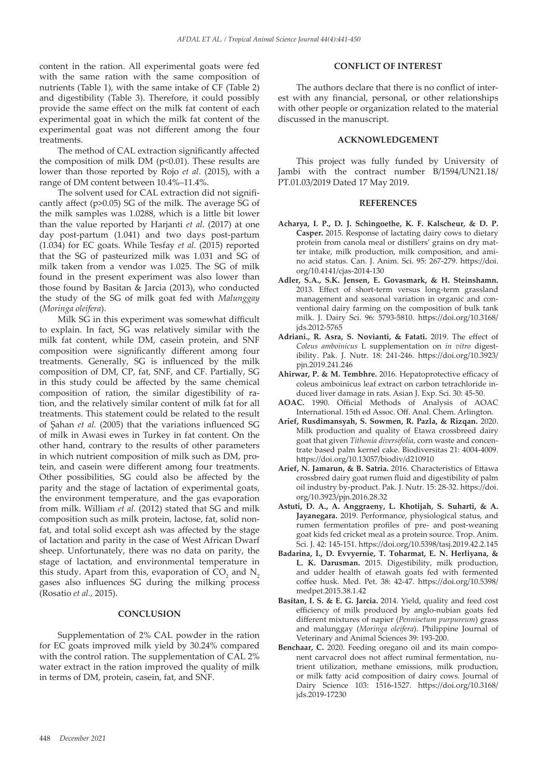content in the ration. All experimental goats were fed with the same ration with the same composition of nutrients (Table 1), with the same intake of CF (Table 2) and digestibility (Table 3). Therefore, it could possibly provide the same effect on the milk fat content of each experimental goat in which the milk fat content of the experimental goat was not different among the four treatments.

The method of CAL extraction significantly affected the composition of milk DM ( $p$ <0.01). These results are lower than those reported by Rojo *et al*. (2015), with a range of DM content between 10.4%–11.4%.

The solvent used for CAL extraction did not significantly affect (p>0.05) SG of the milk. The average SG of the milk samples was 1.0288, which is a little bit lower than the value reported by Harjanti *et al*. (2017) at one day post-partum (1.041) and two days post-partum (1.034) for EC goats. While Tesfay *et al*. (2015) reported that the SG of pasteurized milk was 1.031 and SG of milk taken from a vendor was 1.025. The SG of milk found in the present experiment was also lower than those found by Basitan & Jarcia (2013), who conducted the study of the SG of milk goat fed with *Malunggay*  (*Moringa oleifera*).

Milk SG in this experiment was somewhat difficult to explain. In fact, SG was relatively similar with the milk fat content, while DM, casein protein, and SNF composition were significantly different among four treatments. Generally, SG is influenced by the milk composition of DM, CP, fat, SNF, and CF. Partially, SG in this study could be affected by the same chemical composition of ration, the similar digestibility of ration, and the relatively similar content of milk fat for all treatments. This statement could be related to the result of Şahan *et al.* (2005) that the variations influenced SG of milk in Awasi ewes in Turkey in fat content. On the other hand, contrary to the results of other parameters in which nutrient composition of milk such as DM, protein, and casein were different among four treatments. Other possibilities, SG could also be affected by the parity and the stage of lactation of experimental goats, the environment temperature, and the gas evaporation from milk. William *et al.* (2012) stated that SG and milk composition such as milk protein, lactose, fat, solid nonfat, and total solid except ash was affected by the stage of lactation and parity in the case of West African Dwarf sheep. Unfortunately, there was no data on parity, the stage of lactation, and environmental temperature in this study. Apart from this, evaporation of  $CO_2$  and  $N_2$ gases also influences SG during the milking process (Rosatio *et al.,* 2015).

# **CONCLUSION**

Supplementation of 2% CAL powder in the ration for EC goats improved milk yield by 30.24% compared with the control ration. The supplementation of CAL 2% water extract in the ration improved the quality of milk in terms of DM, protein, casein, fat, and SNF.

# **CONFLICT OF INTEREST**

The authors declare that there is no conflict of interest with any financial, personal, or other relationships with other people or organization related to the material discussed in the manuscript.

### **ACKNOWLEDGEMENT**

This project was fully funded by University of Jambi with the contract number B/1594/UN21.18/ PT.01.03/2019 Dated 17 May 2019.

### **REFERENCES**

- **Acharya, I. P., D. J. Schingoethe, K. F. Kalscheur, & D. P. Casper.** 2015. Response of lactating dairy cows to dietary protein from canola meal or distillers' grains on dry matter intake, milk production, milk composition, and amino acid status. Can. J. Anim. Sci. 95: 267-279. https://doi. org/10.4141/cjas-2014-130
- **Adler, S.A., S.K. Jensen, E. Govasmark, & H. Steinshamn.**  2013. Effect of short-term versus long-term grassland management and seasonal variation in organic and conventional dairy farming on the composition of bulk tank milk. J. Dairy Sci. 96: 5793-5810. https://doi.org/10.3168/ jds.2012-5765
- **Adriani., R. Asra, S. Novianti, & Fatati.** 2019. The effect of *Coleus amboinicus* L supplementation on *in vitro* digestibility. Pak. J. Nutr. 18: 241-246. https://doi.org/10.3923/ pjn.2019.241.246
- **Ahirwar, P. & M. Tembhre.** 2016. Hepatoprotective efficacy of coleus amboinicus leaf extract on carbon tetrachloride induced liver damage in rats. Asian J. Exp. Sci. 30: 45-50.
- **AOAC.** 1990. Official Methods of Analysis of AOAC International. 15th ed Assoc. Off. Anal. Chem. Arlington.
- **Arief, Rusdimansyah, S. Sowmen, R. Pazla, & Rizqan.** 2020. Milk production and quality of Etawa crossbreed dairy goat that given *Tithonia diversifolia*, corn waste and concentrate based palm kernel cake. Biodiversitas 21: 4004-4009. https://doi.org/10.13057/biodiv/d210910
- **Arief, N. Jamarun, & B. Satria.** 2016. Characteristics of Ettawa crossbred dairy goat rumen fluid and digestibility of palm oil industry by-product. Pak. J. Nutr. 15: 28-32. https://doi. org/10.3923/pjn.2016.28.32
- **Astuti, D. A., A. Anggraeny, L. Khotijah, S. Suharti, & A. Jayanegara.** 2019. Performance, physiological status, and rumen fermentation profiles of pre- and post-weaning goat kids fed cricket meal as a protein source. Trop. Anim. Sci. J. 42: 145-151. https://doi.org/10.5398/tasj.2019.42.2.145
- **Badarina, I., D. Evvyernie, T. Toharmat, E. N. Herliyana, & L. K. Darusman.** 2015. Digestibility, milk production, and udder health of etawah goats fed with fermented coffee husk. Med. Pet. 38: 42-47. https://doi.org/10.5398/ medpet.2015.38.1.42
- **Basitan, I. S. & E. G. Jarcia.** 2014. Yield, quality and feed cost efficiency of milk produced by anglo-nubian goats fed different mixtures of napier (*Pennisetum purpureum*) grass and malunggay (*Moringa oleifera*). Philippine Journal of Veterinary and Animal Sciences 39: 193-200.
- **Benchaar, C.** 2020. Feeding oregano oil and its main component carvacrol does not affect ruminal fermentation, nutrient utilization, methane emissions, milk production, or milk fatty acid composition of dairy cows. Journal of Dairy Science 103: 1516-1527. https://doi.org/10.3168/ jds.2019-17230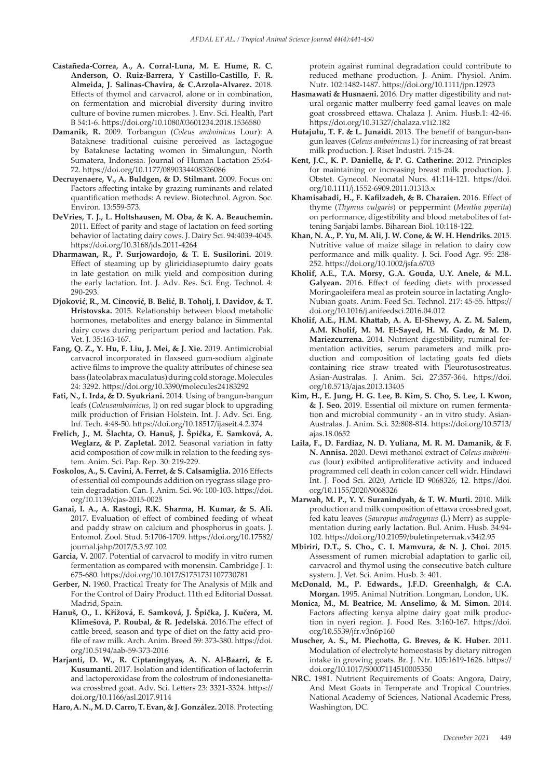- **Castañeda-Correa, A., A. Corral-Luna, M. E. Hume, R. C. Anderson, O. Ruiz-Barrera, Y Castillo-Castillo, F. R. Almeida, J. Salinas-Chavira, & C.Arzola-Alvarez.** 2018. Effects of thymol and carvacrol, alone or in combination, on fermentation and microbial diversity during invitro culture of bovine rumen microbes. J. Env. Sci. Health, Part B 54:1-6. https://doi.org/10.1080/03601234.2018.1536580
- **Damanik, R.** 2009. Torbangun (*Coleus amboinicus* Lour): A Bataknese traditional cuisine perceived as lactagogue by Bataknese lactating women in Simalungun, North Sumatera, Indonesia. Journal of Human Lactation 25:64- 72. https://doi.org/10.1177/0890334408326086
- **Decruyenaere, V., A. Buldgen, & D. Stilmant.** 2009. Focus on: Factors affecting intake by grazing ruminants and related quantification methods: A review. Biotechnol. Agron. Soc. Environ. 13:559-573.
- **DeVries, T. J., L. Holtshausen, M. Oba, & K. A. Beauchemin.**  2011. Effect of parity and stage of lactation on feed sorting behavior of lactating dairy cows. J. Dairy Sci. 94:4039-4045. https://doi.org/10.3168/jds.2011-4264
- **Dharmawan, R., P. Surjowardojo, & T. E. Susilorini.** 2019. Effect of steaming up by gliricidiasepiumto dairy goats in late gestation on milk yield and composition during the early lactation. Int. J. Adv. Res. Sci. Eng. Technol. 4: 290-293.
- **Djoković, R., M. Cincović, B. Belić, B. Toholj, I. Davidov, & T. Hristovska.** 2015. Relationship between blood metabolic hormones, metabolites and energy balance in Simmental dairy cows during peripartum period and lactation. Pak. Vet. J. 35:163-167.
- **Fang, Q. Z., Y. Hu, F. Liu, J. Mei, & J. Xie.** 2019. Antimicrobial carvacrol incorporated in flaxseed gum-sodium alginate active films to improve the quality attributes of chinese sea bass (lateolabrax maculatus) during cold storage. Molecules 24: 3292. https://doi.org/10.3390/molecules24183292
- **Fati, N., I. Irda, & D. Syukriani.** 2014. Using of bangun-bangun leafs (*Coleusamboinicus*, l) on red sugar block to upgrading milk production of Frisian Holstein. Int. J. Adv. Sci. Eng. Inf. Tech. 4:48-50. https://doi.org/10.18517/ijaseit.4.2.374
- **Frelich, J., M. Šlachta, O. Hanuš, J. Špička, E. Samková, A. Weglarz, & P. Zapletal.** 2012. Seasonal variation in fatty acid composition of cow milk in relation to the feeding system. Anim. Sci. Pap. Rep. 30: 219-229.
- **Foskolos, A., S. Cavini, A. Ferret, & S. Calsamiglia.** 2016 Effects of essential oil compounds addition on ryegrass silage protein degradation. Can. J. Anim. Sci. 96: 100-103. https://doi. org/10.1139/cjas-2015-0025
- **Ganai, I. A., A. Rastogi, R.K. Sharma, H. Kumar, & S. Ali.**  2017. Evaluation of effect of combined feeding of wheat and paddy straw on calcium and phosphorus in goats. J. Entomol. Zool. Stud. 5:1706-1709. https://doi.org/10.17582/ journal.jahp/2017/5.3.97.102
- **Garcia, V.** 2007. Potential of carvacrol to modify in vitro rumen fermentation as compared with monensin. Cambridge J. 1: 675-680. https://doi.org/10.1017/S1751731107730781
- **Gerber, N.** 1960. Practical Treaty for The Analysis of Milk and For the Control of Dairy Product. 11th ed Editorial Dossat. Madrid, Spain.
- **Hanuš, O., L. Křížová, E. Samková, J. Špička, J. Kučera, M. Klimešová, P. Roubal, & R. Jedelská.** 2016.The effect of cattle breed, season and type of diet on the fatty acid profile of raw milk. Arch. Anim. Breed 59: 373-380. https://doi. org/10.5194/aab-59-373-2016
- **Harjanti, D. W., R. Ciptaningtyas, A. N. Al-Baarri, & E. Kusumanti.** 2017. Isolation and identification of lactoferrin and lactoperoxidase from the colostrum of indonesianettawa crossbred goat. Adv. Sci. Letters 23: 3321-3324. https:// doi.org/10.1166/asl.2017.9114

**Haro, A. N., M. D. Carro, T. Evan, & J. González.** 2018. Protecting

protein against ruminal degradation could contribute to reduced methane production. J. Anim. Physiol. Anim. Nutr. 102:1482-1487. https://doi.org/10.1111/jpn.12973

- **Hasmawati & Husnaeni.** 2016. Dry matter digestibility and natural organic matter mulberry feed gamal leaves on male goat crossbreed ettawa. Chalaza J. Anim. Husb.1: 42-46. https://doi.org/10.31327/chalaza.v1i2.182
- **Hutajulu, T. F. & L. Junaidi.** 2013. The benefif of bangun-bangun leaves (*Coleus amboinicus* l.) for increasing of rat breast milk production. J. Riset Industri. 7:15-24.
- **Kent, J.C., K. P. Danielle, & P. G. Catherine.** 2012. Principles for maintaining or increasing breast milk production. J. Obstet. Gynecol. Neonatal Nurs. 41:114-121. https://doi. org/10.1111/j.1552-6909.2011.01313.x
- **Khamisabadi, H., F. Kafilzadeh, & B. Charaien.** 2016. Effect of thyme (*Thymus vulgaris*) or peppermint (*Mentha piperita*) on performance, digestibility and blood metabolites of fattening Sanjabi lambs. Biharean Biol. 10:118-122.
- **Khan, N. A., P. Yu, M. Ali, J. W. Cone, & W. H. Hendriks.** 2015. Nutritive value of maize silage in relation to dairy cow performance and milk quality. J. Sci. Food Agr. 95: 238- 252. https://doi.org/10.1002/jsfa.6703
- **Kholif, A.E., T.A. Morsy, G.A. Gouda, U.Y. Anele, & M.L. Galyean.** 2016. Effect of feeding diets with processed Moringaoleifera meal as protein source in lactating Anglo-Nubian goats. Anim. Feed Sci. Technol. 217: 45-55. https:// doi.org/10.1016/j.anifeedsci.2016.04.012
- **Kholif, A.E., H.M. Khattab, A. A. El-Shewy, A. Z. M. Salem, A.M. Kholif, M. M. El-Sayed, H. M. Gado, & M. D. Mariezcurrena.** 2014. Nutrient digestibility, ruminal fermentation activities, serum parameters and milk production and composition of lactating goats fed diets containing rice straw treated with Pleurotusostreatus. Asian-Australas. J. Anim. Sci. 27:357-364. https://doi. org/10.5713/ajas.2013.13405
- **Kim, H., E. Jung, H. G. Lee, B. Kim, S. Cho, S. Lee, I. Kwon, & J. Seo.** 2019. Essential oil mixture on rumen fermentation and microbial community - an in vitro study. Asian-Australas. J. Anim. Sci. 32:808-814. https://doi.org/10.5713/ ajas.18.0652
- **Laila, F., D. Fardiaz, N. D. Yuliana, M. R. M. Damanik, & F. N. Annisa.** 2020. Dewi methanol extract of *Coleus amboinicus* (lour) exibited antiproliferative activity and induced programmed cell death in colon cancer cell widr. Hindawi Int. J. Food Sci. 2020, Article ID 9068326, 12. https://doi. org/10.1155/2020/9068326
- **Marwah, M. P., Y. Y. Suranindyah, & T. W. Murti.** 2010. Milk production and milk composition of ettawa crossbred goat, fed katu leaves (*Sauropus androgynus* (l.) Merr) as supplementation during early lactation. Bul. Anim. Husb. 34:94- 102. https://doi.org/10.21059/buletinpeternak.v34i2.95
- **Mbiriri, D.T., S. Cho., C. I. Mamvura, & N. J. Choi.** 2015. Assessment of rumen microbial adaptation to garlic oil, carvacrol and thymol using the consecutive batch culture system. J. Vet. Sci. Anim. Husb. 3: 401.
- **McDonald, M., P. Edwards., J.F.D. Greenhalgh, & C.A. Morgan.** 1995. Animal Nutrition. Longman, London, UK.
- **Monica, M., M. Beatrice, M. Anselimo, & M. Simon.** 2014. Factors affecting kenya alpine dairy goat milk production in nyeri region. J. Food Res. 3:160-167. https://doi. org/10.5539/jfr.v3n6p160
- **Muscher, A. S., M. Piechotta, G. Breves, & K. Huber.** 2011. Modulation of electrolyte homeostasis by dietary nitrogen intake in growing goats. Br. J. Ntr. 105:1619-1626. https:// doi.org/10.1017/S0007114510005350
- **NRC.** 1981. Nutrient Requirements of Goats: Angora, Dairy, And Meat Goats in Temperate and Tropical Countries. National Academy of Sciences, National Academic Press, Washington, DC.